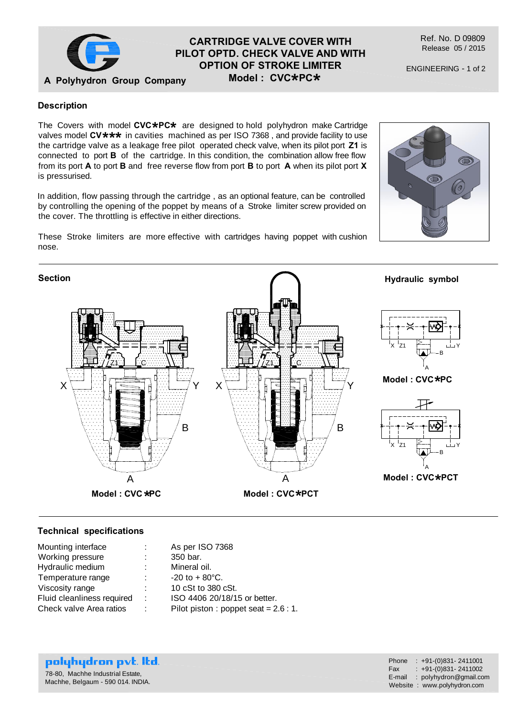

# **CARTRIDGE VALVE COVER WITH PILOT OPTD. CHECK VALVE AND WITH OPTION OF STROKE LIMITER**  $\textsf{Model}: \textsf{CVC*PC*}$

Ref. No. D 09809 Release 05 / 2015

ENGINEERING - 1 of 2

## **Description**

The Covers with model CVC★PC★ are designed to hold polyhydron make Cartridge<br>valves model CV★★★ in cavities\_machined as per ISO 7368 , and provide facility to use valves model CV**\*\*\*** in cavities machined as per ISO 7368 , and provide facility to use<br>the cartridge valve as a leakage free pilot, operated check valve, when its pilot port Z1 is the cartridge valve as a leakage free pilot operated check valve, when its pilot port **Z1** is connected to port **B** of the cartridge. In this condition, the combination allow free flow from its port **A** to port **B** and free reverse flow from port **B** to port **A** when its pilot port **X** is pressurised.

In addition, flow passing through the cartridge , as an optional feature, can be controlled by controlling the opening of the poppet by means of a Stroke limiter screw provided on the cover. The throttling is effective in either directions.

These Stroke limiters are more effective with cartridges having poppet with cushion nose.





#### **Technical specifications**

| Mounting interface         | $\mathcal{L}^{\mathcal{L}}$ . | As per ISO 7368                        |
|----------------------------|-------------------------------|----------------------------------------|
| Working pressure           | ÷                             | 350 bar.                               |
| Hydraulic medium           | ÷                             | Mineral oil.                           |
| Temperature range          | ÷.                            | $-20$ to $+80^{\circ}$ C.              |
| Viscosity range            |                               | 10 cSt to 380 cSt.                     |
| Fluid cleanliness required | ÷                             | ISO 4406 20/18/15 or better.           |
| Check valve Area ratios    | ÷                             | Pilot piston : poppet seat = $2.6:1$ . |
|                            |                               |                                        |

polyhydron pvt. Itd. 78-80, Machhe Industrial Estate, Machhe, Belgaum - 590 014. INDIA.

| Phone  | $: +91-(0)831 - 2411001$    |
|--------|-----------------------------|
| Fax    | $: +91-(0)831 - 2411002$    |
| E-mail | : polyhydron@gmail.com      |
|        | Website: www.polyhydron.com |